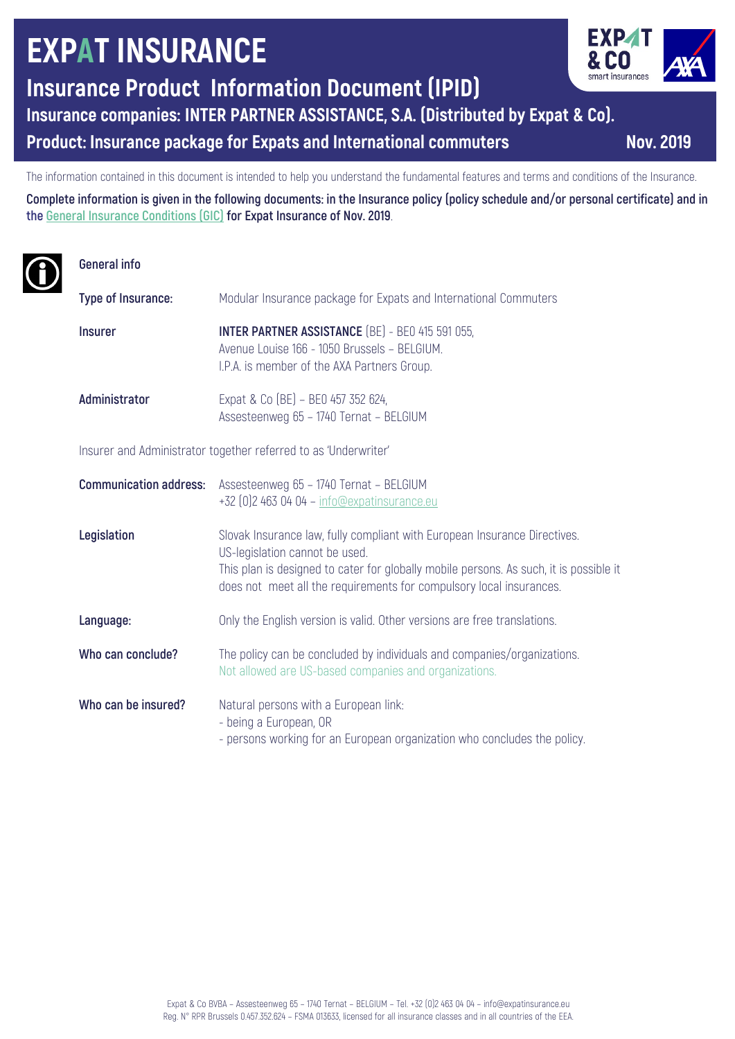# **EXPAT INSURANCE**

**Insurance Product Information Document (IPID)**

**Insurance companies: INTER PARTNER ASSISTANCE, S.A. (Distributed by Expat & Co).**

**Product: Insurance package for Expats and International commuters Mov. 2019** 

The information contained in this document is intended to help you understand the fundamental features and terms and conditions of the Insurance.

**Complete information is given in the following documents: in the Insurance policy (policy schedule and/or personal certificate) and in the General Insurance Conditions (GIC) for Expat Insurance of Nov. 2019**.

# **General info**

| Type of Insurance:                                              | Modular Insurance package for Expats and International Commuters                                                                                                                                                                                                             |
|-----------------------------------------------------------------|------------------------------------------------------------------------------------------------------------------------------------------------------------------------------------------------------------------------------------------------------------------------------|
| <b>Insurer</b>                                                  | <b>INTER PARTNER ASSISTANCE</b> (BE) - BE0 415 591 055,<br>Avenue Louise 166 - 1050 Brussels - BELGIUM.<br>I.P.A. is member of the AXA Partners Group.                                                                                                                       |
| Administrator                                                   | Expat & Co (BE) - BEO 457 352 624,<br>Assesteenweg 65 - 1740 Ternat - BELGIUM                                                                                                                                                                                                |
| Insurer and Administrator together referred to as 'Underwriter' |                                                                                                                                                                                                                                                                              |
| <b>Communication address:</b>                                   | Assesteenweg 65 - 1740 Ternat - BELGIUM<br>+32 [0] 2 463 04 04 - info@expatinsurance.eu                                                                                                                                                                                      |
| Legislation                                                     | Slovak Insurance law, fully compliant with European Insurance Directives.<br>US-legislation cannot be used.<br>This plan is designed to cater for globally mobile persons. As such, it is possible it<br>does not meet all the requirements for compulsory local insurances. |
| Language:                                                       | Only the English version is valid. Other versions are free translations.                                                                                                                                                                                                     |
| Who can conclude?                                               | The policy can be concluded by individuals and companies/organizations.<br>Not allowed are US-based companies and organizations.                                                                                                                                             |
| Who can be insured?                                             | Natural persons with a European link:<br>- being a European, OR<br>- persons working for an European organization who concludes the policy.                                                                                                                                  |



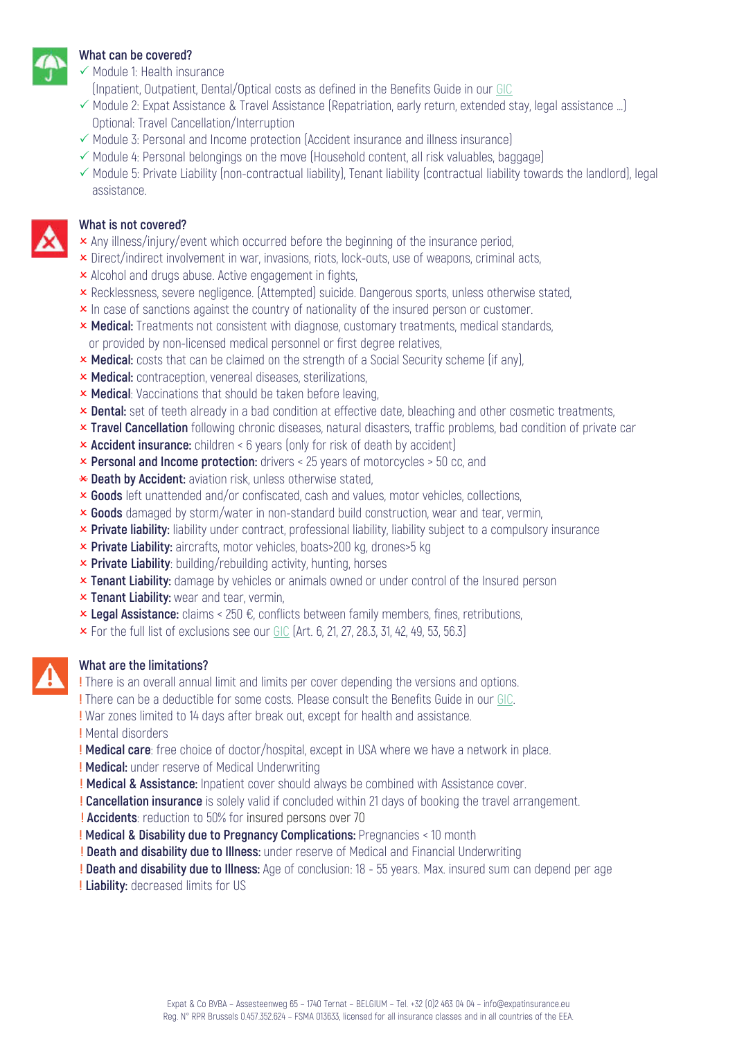

#### **What can be covered?**

- $\checkmark$  Module 1: Health insurance
- (Inpatient, Outpatient, Dental/Optical costs as defined in the Benefits Guide in our GIC
- $\checkmark$  Module 2: Expat Assistance & Travel Assistance (Repatriation, early return, extended stay, legal assistance ...) Optional: Travel Cancellation/Interruption
- $\checkmark$  Module 3: Personal and Income protection (Accident insurance and illness insurance)
- $\checkmark$  Module 4: Personal belongings on the move (Household content, all risk valuables, baggage)
- $\checkmark$  Module 5: Private Liability (non-contractual liability), Tenant liability (contractual liability towards the landlord), legal assistance.



#### **What is not covered?**

- **x** Any illness/injury/event which occurred before the beginning of the insurance period,
- **x** Direct/indirect involvement in war, invasions, riots, lock-outs, use of weapons, criminal acts,
- **x** Alcohol and drugs abuse. Active engagement in fights,
- **×** Recklessness, severe negligence. (Attempted) suicide. Dangerous sports, unless otherwise stated,
- **x** In case of sanctions against the country of nationality of the insured person or customer.
- **× Medical:** Treatments not consistent with diagnose, customary treatments, medical standards, or provided by non-licensed medical personnel or first degree relatives,
- **× Medical:** costs that can be claimed on the strength of a Social Security scheme (if any).
- **× Medical:** contraception, venereal diseases, sterilizations,
- **x Medical:** Vaccinations that should be taken before leaving,
- **x** Dental: set of teeth already in a bad condition at effective date, bleaching and other cosmetic treatments,
- O **Travel Cancellation** following chronic diseases, natural disasters, traffic problems, bad condition of private car
- **x Accident insurance:** children < 6 years (only for risk of death by accident)
- **x Personal and Income protection:** drivers < 25 years of motorcycles > 50 cc, and
- \* Death by Accident: aviation risk, unless otherwise stated,
- **x Goods** left unattended and/or confiscated, cash and values, motor vehicles, collections,
- O **Goods** damaged by storm/water in non-standard build construction, wear and tear, vermin,
- **× Private liability:** liability under contract, professional liability, liability subject to a compulsory insurance
- **× Private Liability:** aircrafts, motor vehicles, boats>200 kg, drones>5 kg
- **× Private Liability**: building/rebuilding activity, hunting, horses
- **x Tenant Liability:** damage by vehicles or animals owned or under control of the Insured person
- **x Tenant Liability:** wear and tear, vermin,
- **× Legal Assistance:** claims < 250 €, conflicts between family members, fines, retributions,
- $\times$  For the full list of exclusions see our GIC (Art. 6, 21, 27, 28.3, 31, 42, 49, 53, 56.3)

#### **What are the limitations?**

**!** There is an overall annual limit and limits per cover depending the versions and options.

- **!** There can be a deductible for some costs. Please consult the Benefits Guide in our GIC.
- **!** War zones limited to 14 days after break out, except for health and assistance.
- **!** Mental disorders
- **! Medical care**: free choice of doctor/hospital, except in USA where we have a network in place.
- **! Medical:** under reserve of Medical Underwriting
- **! Medical & Assistance:** Inpatient cover should always be combined with Assistance cover.
- **! Cancellation insurance** is solely valid if concluded within 21 days of booking the travel arrangement.
- **! Accidents**: reduction to 50% for insured persons over 70
- **! Medical & Disability due to Pregnancy Complications:** Pregnancies < 10 month
- **! Death and disability due to Illness:** under reserve of Medical and Financial Underwriting
- **! Death and disability due to Illness:** Age of conclusion: 18 55 years. Max. insured sum can depend per age
- **! Liability:** decreased limits for US